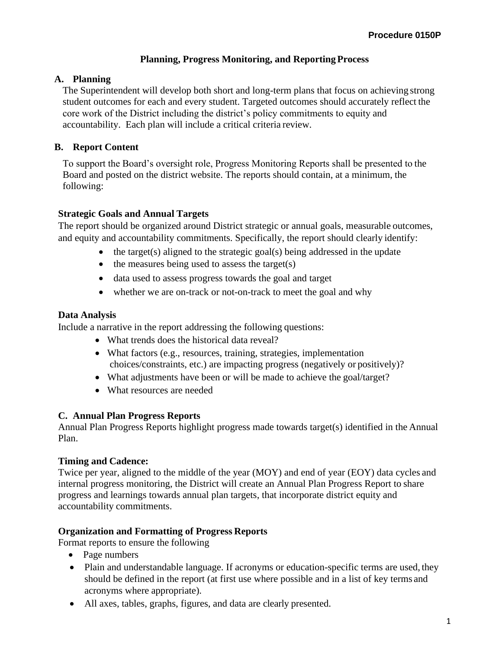#### **Planning, Progress Monitoring, and Reporting Process**

#### **A. Planning**

The Superintendent will develop both short and long-term plans that focus on achieving strong student outcomes for each and every student. Targeted outcomes should accurately reflect the core work of the District including the district's policy commitments to equity and accountability. Each plan will include a critical criteria review.

### **B. Report Content**

To support the Board's oversight role, Progress Monitoring Reports shall be presented to the Board and posted on the district website. The reports should contain, at a minimum, the following:

### **Strategic Goals and Annual Targets**

The report should be organized around District strategic or annual goals, measurable outcomes, and equity and accountability commitments. Specifically, the report should clearly identify:

- the target(s) aligned to the strategic goal(s) being addressed in the update
- $\bullet$  the measures being used to assess the target(s)
- data used to assess progress towards the goal and target
- whether we are on-track or not-on-track to meet the goal and why

### **Data Analysis**

Include a narrative in the report addressing the following questions:

- What trends does the historical data reveal?
- What factors (e.g., resources, training, strategies, implementation choices/constraints, etc.) are impacting progress (negatively or positively)?
- What adjustments have been or will be made to achieve the goal/target?
- What resources are needed

#### **C. Annual Plan Progress Reports**

Annual Plan Progress Reports highlight progress made towards target(s) identified in the Annual Plan.

#### **Timing and Cadence:**

Twice per year, aligned to the middle of the year (MOY) and end of year (EOY) data cycles and internal progress monitoring, the District will create an Annual Plan Progress Report to share progress and learnings towards annual plan targets, that incorporate district equity and accountability commitments.

# **Organization and Formatting of Progress Reports**

Format reports to ensure the following

- Page numbers
- Plain and understandable language. If acronyms or education-specific terms are used, they should be defined in the report (at first use where possible and in a list of key terms and acronyms where appropriate).
- All axes, tables, graphs, figures, and data are clearly presented.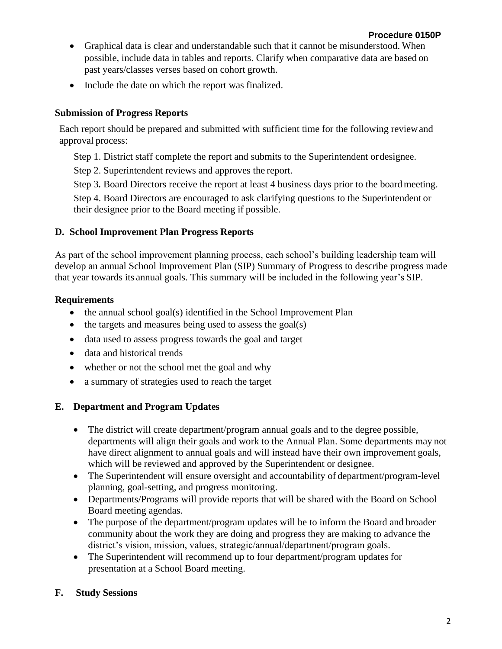- Graphical data is clear and understandable such that it cannot be misunderstood. When possible, include data in tables and reports. Clarify when comparative data are based on past years/classes verses based on cohort growth.
- Include the date on which the report was finalized.

### **Submission of Progress Reports**

Each report should be prepared and submitted with sufficient time for the following reviewand approval process:

Step 1. District staff complete the report and submits to the Superintendent ordesignee.

Step 2. Superintendent reviews and approves the report.

Step 3. Board Directors receive the report at least 4 business days prior to the board meeting.

Step 4. Board Directors are encouraged to ask clarifying questions to the Superintendent or their designee prior to the Board meeting if possible.

### **D. School Improvement Plan Progress Reports**

As part of the school improvement planning process, each school's building leadership team will develop an annual School Improvement Plan (SIP) Summary of Progress to describe progress made that year towards its annual goals. This summary will be included in the following year's SIP.

# **Requirements**

- the annual school goal(s) identified in the School Improvement Plan
- the targets and measures being used to assess the goal(s)
- data used to assess progress towards the goal and target
- data and historical trends
- whether or not the school met the goal and why
- a summary of strategies used to reach the target

# **E. Department and Program Updates**

- The district will create department/program annual goals and to the degree possible, departments will align their goals and work to the Annual Plan. Some departments may not have direct alignment to annual goals and will instead have their own improvement goals, which will be reviewed and approved by the Superintendent or designee.
- The Superintendent will ensure oversight and accountability of department/program-level planning, goal-setting, and progress monitoring.
- Departments/Programs will provide reports that will be shared with the Board on School Board meeting agendas.
- The purpose of the department/program updates will be to inform the Board and broader community about the work they are doing and progress they are making to advance the district's vision, mission, values, strategic/annual/department/program goals.
- The Superintendent will recommend up to four department/program updates for presentation at a School Board meeting.

# **F. Study Sessions**